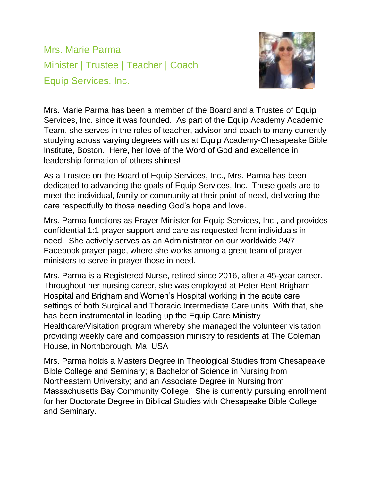Mrs. Marie Parma Minister | Trustee | Teacher | Coach Equip Services, Inc.



Mrs. Marie Parma has been a member of the Board and a Trustee of Equip Services, Inc. since it was founded. As part of the Equip Academy Academic Team, she serves in the roles of teacher, advisor and coach to many currently studying across varying degrees with us at Equip Academy-Chesapeake Bible Institute, Boston. Here, her love of the Word of God and excellence in leadership formation of others shines!

As a Trustee on the Board of Equip Services, Inc., Mrs. Parma has been dedicated to advancing the goals of Equip Services, Inc. These goals are to meet the individual, family or community at their point of need, delivering the care respectfully to those needing God's hope and love.

Mrs. Parma functions as Prayer Minister for Equip Services, Inc., and provides confidential 1:1 prayer support and care as requested from individuals in need. She actively serves as an Administrator on our worldwide 24/7 Facebook prayer page, where she works among a great team of prayer ministers to serve in prayer those in need.

Mrs. Parma is a Registered Nurse, retired since 2016, after a 45-year career. Throughout her nursing career, she was employed at Peter Bent Brigham Hospital and Brigham and Women's Hospital working in the acute care settings of both Surgical and Thoracic Intermediate Care units. With that, she has been instrumental in leading up the Equip Care Ministry Healthcare/Visitation program whereby she managed the volunteer visitation providing weekly care and compassion ministry to residents at The Coleman House, in Northborough, Ma, USA

Mrs. Parma holds a Masters Degree in Theological Studies from Chesapeake Bible College and Seminary; a Bachelor of Science in Nursing from Northeastern University; and an Associate Degree in Nursing from Massachusetts Bay Community College. She is currently pursuing enrollment for her Doctorate Degree in Biblical Studies with Chesapeake Bible College and Seminary.